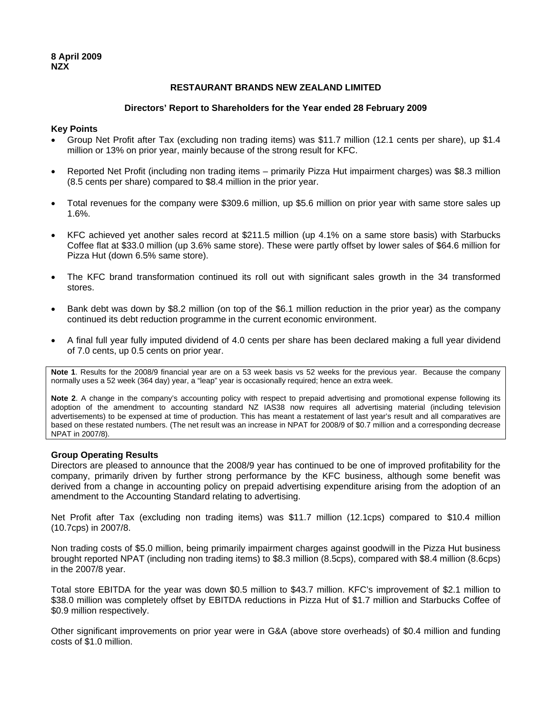## **RESTAURANT BRANDS NEW ZEALAND LIMITED**

### **Directors' Report to Shareholders for the Year ended 28 February 2009**

### **Key Points**

- Group Net Profit after Tax (excluding non trading items) was \$11.7 million (12.1 cents per share), up \$1.4 million or 13% on prior year, mainly because of the strong result for KFC.
- Reported Net Profit (including non trading items primarily Pizza Hut impairment charges) was \$8.3 million (8.5 cents per share) compared to \$8.4 million in the prior year.
- Total revenues for the company were \$309.6 million, up \$5.6 million on prior year with same store sales up 1.6%.
- KFC achieved yet another sales record at \$211.5 million (up 4.1% on a same store basis) with Starbucks Coffee flat at \$33.0 million (up 3.6% same store). These were partly offset by lower sales of \$64.6 million for Pizza Hut (down 6.5% same store).
- The KFC brand transformation continued its roll out with significant sales growth in the 34 transformed stores.
- Bank debt was down by \$8.2 million (on top of the \$6.1 million reduction in the prior year) as the company continued its debt reduction programme in the current economic environment.
- A final full year fully imputed dividend of 4.0 cents per share has been declared making a full year dividend of 7.0 cents, up 0.5 cents on prior year.

**Note 1**. Results for the 2008/9 financial year are on a 53 week basis vs 52 weeks for the previous year. Because the company normally uses a 52 week (364 day) year, a "leap" year is occasionally required; hence an extra week.

**Note 2**. A change in the company's accounting policy with respect to prepaid advertising and promotional expense following its adoption of the amendment to accounting standard NZ IAS38 now requires all advertising material (including television advertisements) to be expensed at time of production. This has meant a restatement of last year's result and all comparatives are based on these restated numbers. (The net result was an increase in NPAT for 2008/9 of \$0.7 million and a corresponding decrease NPAT in 2007/8).

### **Group Operating Results**

Directors are pleased to announce that the 2008/9 year has continued to be one of improved profitability for the company, primarily driven by further strong performance by the KFC business, although some benefit was derived from a change in accounting policy on prepaid advertising expenditure arising from the adoption of an amendment to the Accounting Standard relating to advertising.

Net Profit after Tax (excluding non trading items) was \$11.7 million (12.1cps) compared to \$10.4 million (10.7cps) in 2007/8.

Non trading costs of \$5.0 million, being primarily impairment charges against goodwill in the Pizza Hut business brought reported NPAT (including non trading items) to \$8.3 million (8.5cps), compared with \$8.4 million (8.6cps) in the 2007/8 year.

Total store EBITDA for the year was down \$0.5 million to \$43.7 million. KFC's improvement of \$2.1 million to \$38.0 million was completely offset by EBITDA reductions in Pizza Hut of \$1.7 million and Starbucks Coffee of \$0.9 million respectively.

Other significant improvements on prior year were in G&A (above store overheads) of \$0.4 million and funding costs of \$1.0 million.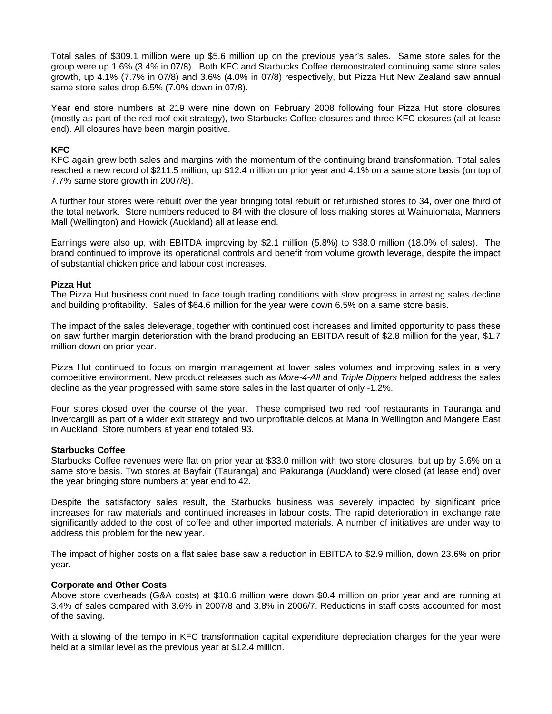Total sales of \$309.1 million were up \$5.6 million up on the previous year's sales. Same store sales for the group were up 1.6% (3.4% in 07/8). Both KFC and Starbucks Coffee demonstrated continuing same store sales growth, up 4.1% (7.7% in 07/8) and 3.6% (4.0% in 07/8) respectively, but Pizza Hut New Zealand saw annual same store sales drop 6.5% (7.0% down in 07/8).

Year end store numbers at 219 were nine down on February 2008 following four Pizza Hut store closures (mostly as part of the red roof exit strategy), two Starbucks Coffee closures and three KFC closures (all at lease end). All closures have been margin positive.

# **KFC**

KFC again grew both sales and margins with the momentum of the continuing brand transformation. Total sales reached a new record of \$211.5 million, up \$12.4 million on prior year and 4.1% on a same store basis (on top of 7.7% same store growth in 2007/8).

A further four stores were rebuilt over the year bringing total rebuilt or refurbished stores to 34, over one third of the total network. Store numbers reduced to 84 with the closure of loss making stores at Wainuiomata, Manners Mall (Wellington) and Howick (Auckland) all at lease end.

Earnings were also up, with EBITDA improving by \$2.1 million (5.8%) to \$38.0 million (18.0% of sales). The brand continued to improve its operational controls and benefit from volume growth leverage, despite the impact of substantial chicken price and labour cost increases.

## **Pizza Hut**

The Pizza Hut business continued to face tough trading conditions with slow progress in arresting sales decline and building profitability. Sales of \$64.6 million for the year were down 6.5% on a same store basis.

The impact of the sales deleverage, together with continued cost increases and limited opportunity to pass these on saw further margin deterioration with the brand producing an EBITDA result of \$2.8 million for the year, \$1.7 million down on prior year.

Pizza Hut continued to focus on margin management at lower sales volumes and improving sales in a very competitive environment. New product releases such as *More-4-All* and *Triple Dippers* helped address the sales decline as the year progressed with same store sales in the last quarter of only -1.2%.

Four stores closed over the course of the year. These comprised two red roof restaurants in Tauranga and Invercargill as part of a wider exit strategy and two unprofitable delcos at Mana in Wellington and Mangere East in Auckland. Store numbers at year end totaled 93.

### **Starbucks Coffee**

Starbucks Coffee revenues were flat on prior year at \$33.0 million with two store closures, but up by 3.6% on a same store basis. Two stores at Bayfair (Tauranga) and Pakuranga (Auckland) were closed (at lease end) over the year bringing store numbers at year end to 42.

Despite the satisfactory sales result, the Starbucks business was severely impacted by significant price increases for raw materials and continued increases in labour costs. The rapid deterioration in exchange rate significantly added to the cost of coffee and other imported materials. A number of initiatives are under way to address this problem for the new year.

The impact of higher costs on a flat sales base saw a reduction in EBITDA to \$2.9 million, down 23.6% on prior year.

## **Corporate and Other Costs**

Above store overheads (G&A costs) at \$10.6 million were down \$0.4 million on prior year and are running at 3.4% of sales compared with 3.6% in 2007/8 and 3.8% in 2006/7. Reductions in staff costs accounted for most of the saving.

With a slowing of the tempo in KFC transformation capital expenditure depreciation charges for the year were held at a similar level as the previous year at \$12.4 million.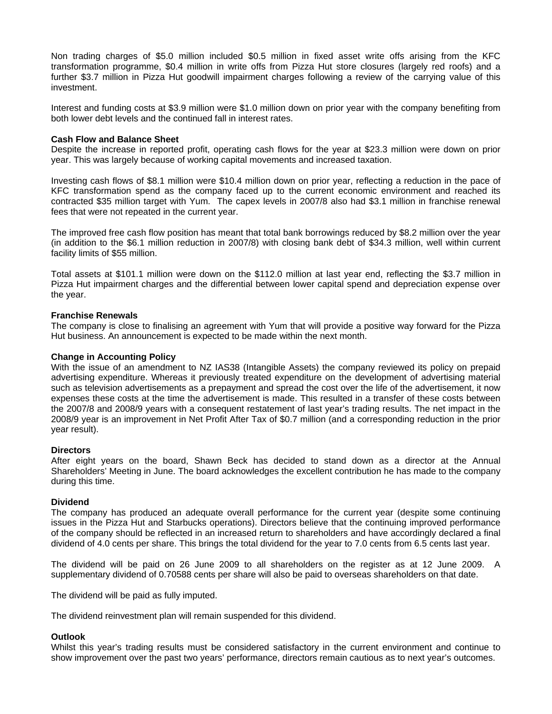Non trading charges of \$5.0 million included \$0.5 million in fixed asset write offs arising from the KFC transformation programme, \$0.4 million in write offs from Pizza Hut store closures (largely red roofs) and a further \$3.7 million in Pizza Hut goodwill impairment charges following a review of the carrying value of this investment.

Interest and funding costs at \$3.9 million were \$1.0 million down on prior year with the company benefiting from both lower debt levels and the continued fall in interest rates.

### **Cash Flow and Balance Sheet**

Despite the increase in reported profit, operating cash flows for the year at \$23.3 million were down on prior year. This was largely because of working capital movements and increased taxation.

Investing cash flows of \$8.1 million were \$10.4 million down on prior year, reflecting a reduction in the pace of KFC transformation spend as the company faced up to the current economic environment and reached its contracted \$35 million target with Yum. The capex levels in 2007/8 also had \$3.1 million in franchise renewal fees that were not repeated in the current year.

The improved free cash flow position has meant that total bank borrowings reduced by \$8.2 million over the year (in addition to the \$6.1 million reduction in 2007/8) with closing bank debt of \$34.3 million, well within current facility limits of \$55 million.

Total assets at \$101.1 million were down on the \$112.0 million at last year end, reflecting the \$3.7 million in Pizza Hut impairment charges and the differential between lower capital spend and depreciation expense over the year.

### **Franchise Renewals**

The company is close to finalising an agreement with Yum that will provide a positive way forward for the Pizza Hut business. An announcement is expected to be made within the next month.

### **Change in Accounting Policy**

With the issue of an amendment to NZ IAS38 (Intangible Assets) the company reviewed its policy on prepaid advertising expenditure. Whereas it previously treated expenditure on the development of advertising material such as television advertisements as a prepayment and spread the cost over the life of the advertisement, it now expenses these costs at the time the advertisement is made. This resulted in a transfer of these costs between the 2007/8 and 2008/9 years with a consequent restatement of last year's trading results. The net impact in the 2008/9 year is an improvement in Net Profit After Tax of \$0.7 million (and a corresponding reduction in the prior year result).

### **Directors**

After eight years on the board, Shawn Beck has decided to stand down as a director at the Annual Shareholders' Meeting in June. The board acknowledges the excellent contribution he has made to the company during this time.

### **Dividend**

The company has produced an adequate overall performance for the current year (despite some continuing issues in the Pizza Hut and Starbucks operations). Directors believe that the continuing improved performance of the company should be reflected in an increased return to shareholders and have accordingly declared a final dividend of 4.0 cents per share. This brings the total dividend for the year to 7.0 cents from 6.5 cents last year.

The dividend will be paid on 26 June 2009 to all shareholders on the register as at 12 June 2009. A supplementary dividend of 0.70588 cents per share will also be paid to overseas shareholders on that date.

The dividend will be paid as fully imputed.

The dividend reinvestment plan will remain suspended for this dividend.

## **Outlook**

Whilst this year's trading results must be considered satisfactory in the current environment and continue to show improvement over the past two years' performance, directors remain cautious as to next year's outcomes.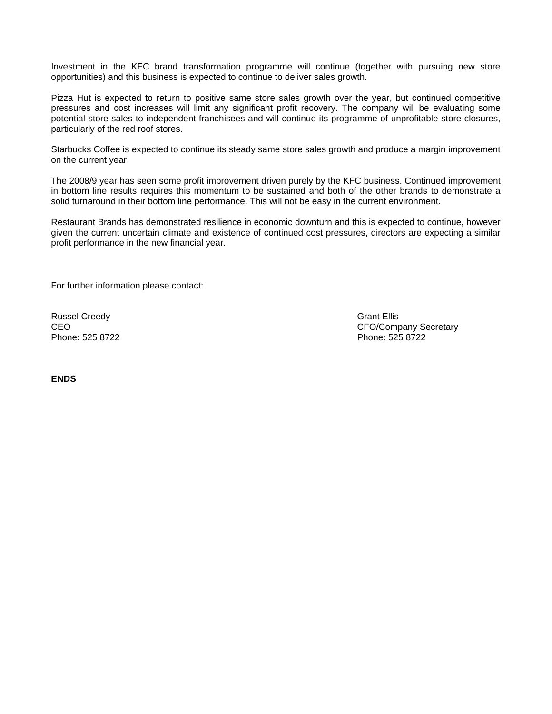Investment in the KFC brand transformation programme will continue (together with pursuing new store opportunities) and this business is expected to continue to deliver sales growth.

Pizza Hut is expected to return to positive same store sales growth over the year, but continued competitive pressures and cost increases will limit any significant profit recovery. The company will be evaluating some potential store sales to independent franchisees and will continue its programme of unprofitable store closures, particularly of the red roof stores.

Starbucks Coffee is expected to continue its steady same store sales growth and produce a margin improvement on the current year.

The 2008/9 year has seen some profit improvement driven purely by the KFC business. Continued improvement in bottom line results requires this momentum to be sustained and both of the other brands to demonstrate a solid turnaround in their bottom line performance. This will not be easy in the current environment.

Restaurant Brands has demonstrated resilience in economic downturn and this is expected to continue, however given the current uncertain climate and existence of continued cost pressures, directors are expecting a similar profit performance in the new financial year.

For further information please contact:

Russel Creedy Grant Ellis<br>CEO Grant Ellis CEO

CEO CEO COMPANY Secretary<br>
Phone: 525 8722<br>
Phone: 525 8722 Phone: 525 8722

**ENDS**